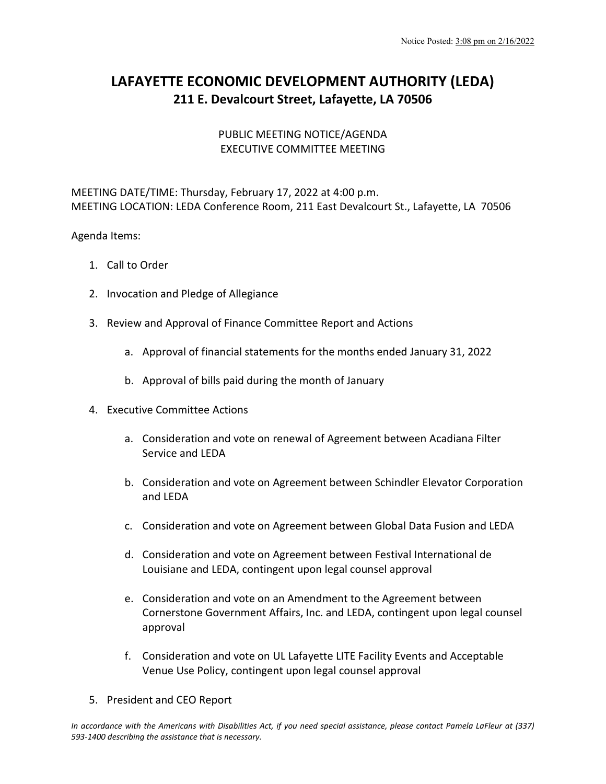## **LAFAYETTE ECONOMIC DEVELOPMENT AUTHORITY (LEDA) 211 E. Devalcourt Street, Lafayette, LA 70506**

## PUBLIC MEETING NOTICE/AGENDA EXECUTIVE COMMITTEE MEETING

MEETING DATE/TIME: Thursday, February 17, 2022 at 4:00 p.m. MEETING LOCATION: LEDA Conference Room, 211 East Devalcourt St., Lafayette, LA 70506

## Agenda Items:

- 1. Call to Order
- 2. Invocation and Pledge of Allegiance
- 3. Review and Approval of Finance Committee Report and Actions
	- a. Approval of financial statements for the months ended January 31, 2022
	- b. Approval of bills paid during the month of January
- 4. Executive Committee Actions
	- a. Consideration and vote on renewal of Agreement between Acadiana Filter Service and LEDA
	- b. Consideration and vote on Agreement between Schindler Elevator Corporation and LEDA
	- c. Consideration and vote on Agreement between Global Data Fusion and LEDA
	- d. Consideration and vote on Agreement between Festival International de Louisiane and LEDA, contingent upon legal counsel approval
	- e. Consideration and vote on an Amendment to the Agreement between Cornerstone Government Affairs, Inc. and LEDA, contingent upon legal counsel approval
	- f. Consideration and vote on UL Lafayette LITE Facility Events and Acceptable Venue Use Policy, contingent upon legal counsel approval
- 5. President and CEO Report